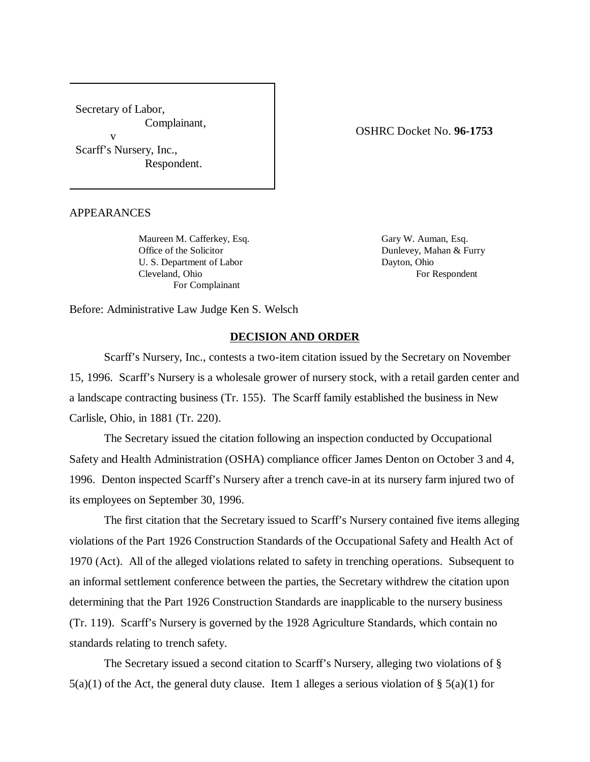Secretary of Labor, Complainant, v

Scarff's Nursery, Inc., Respondent. OSHRC Docket No. **96-1753**

APPEARANCES

Maureen M. Cafferkey, Esq. Gary W. Auman, Esq. Office of the Solicitor Dunlevey, Mahan & Furry U. S. Department of Labor Dayton, Ohio Cleveland, Ohio For Respondent For Complainant

Before: Administrative Law Judge Ken S. Welsch

## **DECISION AND ORDER**

Scarff's Nursery, Inc., contests a two-item citation issued by the Secretary on November 15, 1996. Scarff's Nursery is a wholesale grower of nursery stock, with a retail garden center and a landscape contracting business (Tr. 155). The Scarff family established the business in New Carlisle, Ohio, in 1881 (Tr. 220).

The Secretary issued the citation following an inspection conducted by Occupational Safety and Health Administration (OSHA) compliance officer James Denton on October 3 and 4, 1996. Denton inspected Scarff's Nursery after a trench cave-in at its nursery farm injured two of its employees on September 30, 1996.

The first citation that the Secretary issued to Scarff's Nursery contained five items alleging violations of the Part 1926 Construction Standards of the Occupational Safety and Health Act of 1970 (Act). All of the alleged violations related to safety in trenching operations. Subsequent to an informal settlement conference between the parties, the Secretary withdrew the citation upon determining that the Part 1926 Construction Standards are inapplicable to the nursery business (Tr. 119). Scarff's Nursery is governed by the 1928 Agriculture Standards, which contain no standards relating to trench safety.

The Secretary issued a second citation to Scarff's Nursery, alleging two violations of §  $5(a)(1)$  of the Act, the general duty clause. Item 1 alleges a serious violation of §  $5(a)(1)$  for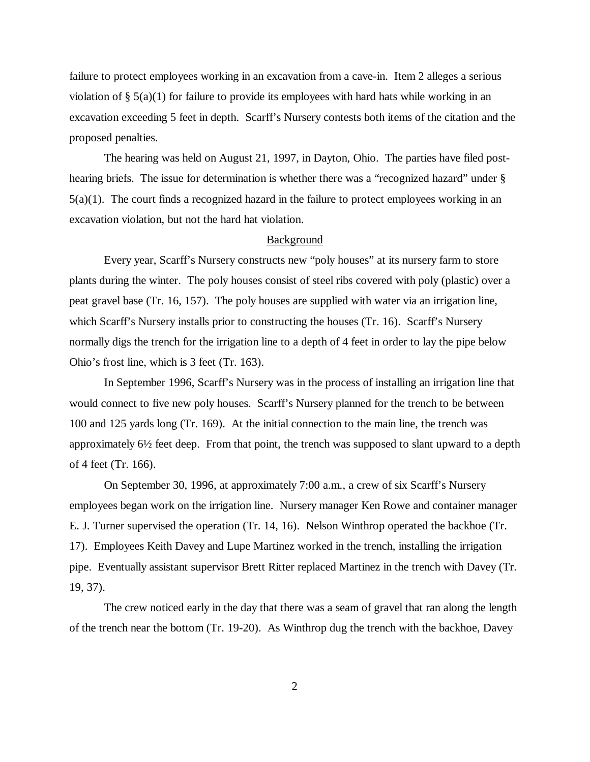failure to protect employees working in an excavation from a cave-in. Item 2 alleges a serious violation of § 5(a)(1) for failure to provide its employees with hard hats while working in an excavation exceeding 5 feet in depth. Scarff's Nursery contests both items of the citation and the proposed penalties.

The hearing was held on August 21, 1997, in Dayton, Ohio. The parties have filed posthearing briefs. The issue for determination is whether there was a "recognized hazard" under § 5(a)(1). The court finds a recognized hazard in the failure to protect employees working in an excavation violation, but not the hard hat violation.

## Background

Every year, Scarff's Nursery constructs new "poly houses" at its nursery farm to store plants during the winter. The poly houses consist of steel ribs covered with poly (plastic) over a peat gravel base (Tr. 16, 157). The poly houses are supplied with water via an irrigation line, which Scarff's Nursery installs prior to constructing the houses (Tr. 16). Scarff's Nursery normally digs the trench for the irrigation line to a depth of 4 feet in order to lay the pipe below Ohio's frost line, which is 3 feet (Tr. 163).

In September 1996, Scarff's Nursery was in the process of installing an irrigation line that would connect to five new poly houses. Scarff's Nursery planned for the trench to be between 100 and 125 yards long (Tr. 169). At the initial connection to the main line, the trench was approximately 6½ feet deep. From that point, the trench was supposed to slant upward to a depth of 4 feet (Tr. 166).

On September 30, 1996, at approximately 7:00 a.m., a crew of six Scarff's Nursery employees began work on the irrigation line. Nursery manager Ken Rowe and container manager E. J. Turner supervised the operation (Tr. 14, 16). Nelson Winthrop operated the backhoe (Tr. 17). Employees Keith Davey and Lupe Martinez worked in the trench, installing the irrigation pipe. Eventually assistant supervisor Brett Ritter replaced Martinez in the trench with Davey (Tr. 19, 37).

The crew noticed early in the day that there was a seam of gravel that ran along the length of the trench near the bottom (Tr. 19-20). As Winthrop dug the trench with the backhoe, Davey

2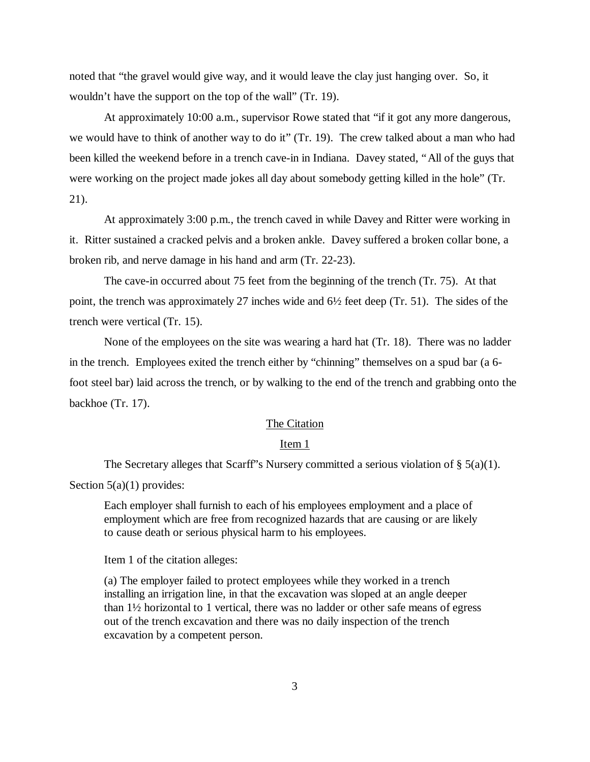noted that "the gravel would give way, and it would leave the clay just hanging over. So, it wouldn't have the support on the top of the wall" (Tr. 19).

At approximately 10:00 a.m., supervisor Rowe stated that "if it got any more dangerous, we would have to think of another way to do it" (Tr. 19). The crew talked about a man who had been killed the weekend before in a trench cave-in in Indiana. Davey stated, "All of the guys that were working on the project made jokes all day about somebody getting killed in the hole" (Tr. 21).

At approximately 3:00 p.m., the trench caved in while Davey and Ritter were working in it. Ritter sustained a cracked pelvis and a broken ankle. Davey suffered a broken collar bone, a broken rib, and nerve damage in his hand and arm (Tr. 22-23).

The cave-in occurred about 75 feet from the beginning of the trench (Tr. 75). At that point, the trench was approximately 27 inches wide and 6½ feet deep (Tr. 51). The sides of the trench were vertical (Tr. 15).

None of the employees on the site was wearing a hard hat (Tr. 18). There was no ladder in the trench. Employees exited the trench either by "chinning" themselves on a spud bar (a 6 foot steel bar) laid across the trench, or by walking to the end of the trench and grabbing onto the backhoe (Tr. 17).

# The Citation

#### Item 1

The Secretary alleges that Scarff's Nursery committed a serious violation of  $\S$  5(a)(1).

Section  $5(a)(1)$  provides:

Each employer shall furnish to each of his employees employment and a place of employment which are free from recognized hazards that are causing or are likely to cause death or serious physical harm to his employees.

Item 1 of the citation alleges:

(a) The employer failed to protect employees while they worked in a trench installing an irrigation line, in that the excavation was sloped at an angle deeper than 1½ horizontal to 1 vertical, there was no ladder or other safe means of egress out of the trench excavation and there was no daily inspection of the trench excavation by a competent person.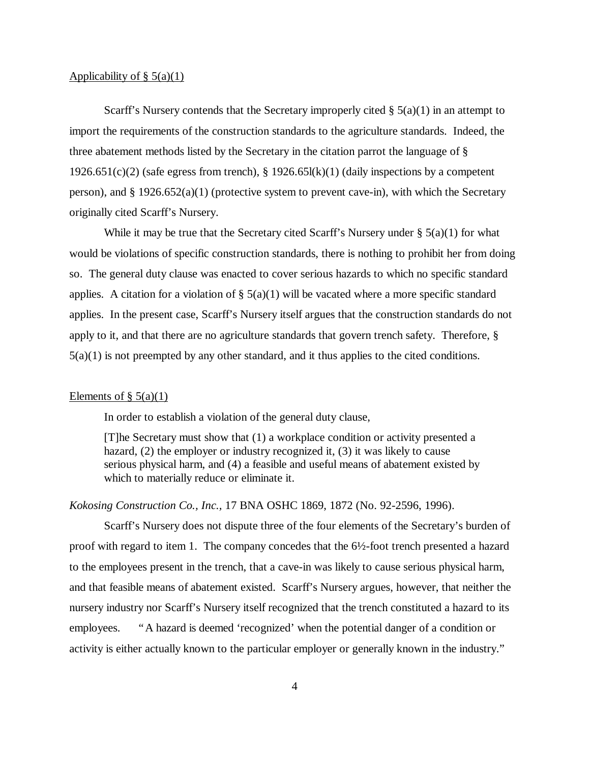#### Applicability of  $\S$  5(a)(1)

Scarff's Nursery contends that the Secretary improperly cited  $\S$  5(a)(1) in an attempt to import the requirements of the construction standards to the agriculture standards. Indeed, the three abatement methods listed by the Secretary in the citation parrot the language of § 1926.651(c)(2) (safe egress from trench),  $\S 1926.65l(k)(1)$  (daily inspections by a competent person), and  $\S 1926.652(a)(1)$  (protective system to prevent cave-in), with which the Secretary originally cited Scarff's Nursery.

While it may be true that the Secretary cited Scarff's Nursery under  $\S$  5(a)(1) for what would be violations of specific construction standards, there is nothing to prohibit her from doing so. The general duty clause was enacted to cover serious hazards to which no specific standard applies. A citation for a violation of  $\S$  5(a)(1) will be vacated where a more specific standard applies. In the present case, Scarff's Nursery itself argues that the construction standards do not apply to it, and that there are no agriculture standards that govern trench safety. Therefore, §  $5(a)(1)$  is not preempted by any other standard, and it thus applies to the cited conditions.

## Elements of  $\S$  5(a)(1)

In order to establish a violation of the general duty clause,

[T]he Secretary must show that (1) a workplace condition or activity presented a hazard, (2) the employer or industry recognized it, (3) it was likely to cause serious physical harm, and (4) a feasible and useful means of abatement existed by which to materially reduce or eliminate it.

## *Kokosing Construction Co., Inc.,* 17 BNA OSHC 1869, 1872 (No. 92-2596, 1996).

Scarff's Nursery does not dispute three of the four elements of the Secretary's burden of proof with regard to item 1. The company concedes that the 6½-foot trench presented a hazard to the employees present in the trench, that a cave-in was likely to cause serious physical harm, and that feasible means of abatement existed. Scarff's Nursery argues, however, that neither the nursery industry nor Scarff's Nursery itself recognized that the trench constituted a hazard to its employees. "A hazard is deemed 'recognized' when the potential danger of a condition or activity is either actually known to the particular employer or generally known in the industry."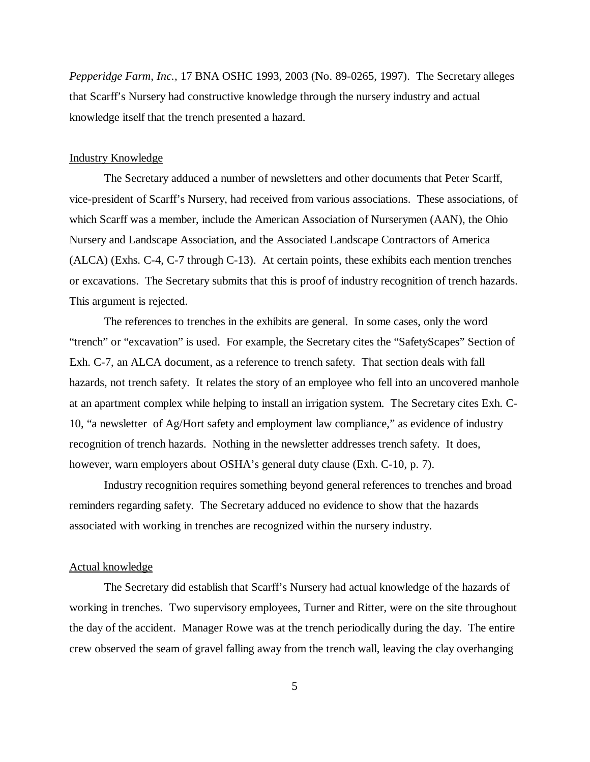*Pepperidge Farm, Inc.,* 17 BNA OSHC 1993, 2003 (No. 89-0265, 1997). The Secretary alleges that Scarff's Nursery had constructive knowledge through the nursery industry and actual knowledge itself that the trench presented a hazard.

## Industry Knowledge

The Secretary adduced a number of newsletters and other documents that Peter Scarff, vice-president of Scarff's Nursery, had received from various associations. These associations, of which Scarff was a member, include the American Association of Nurserymen (AAN), the Ohio Nursery and Landscape Association, and the Associated Landscape Contractors of America (ALCA) (Exhs. C-4, C-7 through C-13). At certain points, these exhibits each mention trenches or excavations. The Secretary submits that this is proof of industry recognition of trench hazards. This argument is rejected.

The references to trenches in the exhibits are general. In some cases, only the word "trench" or "excavation" is used. For example, the Secretary cites the "SafetyScapes" Section of Exh. C-7, an ALCA document, as a reference to trench safety. That section deals with fall hazards, not trench safety. It relates the story of an employee who fell into an uncovered manhole at an apartment complex while helping to install an irrigation system. The Secretary cites Exh. C-10, "a newsletter of Ag/Hort safety and employment law compliance," as evidence of industry recognition of trench hazards. Nothing in the newsletter addresses trench safety. It does, however, warn employers about OSHA's general duty clause (Exh. C-10, p. 7).

Industry recognition requires something beyond general references to trenches and broad reminders regarding safety. The Secretary adduced no evidence to show that the hazards associated with working in trenches are recognized within the nursery industry.

## Actual knowledge

The Secretary did establish that Scarff's Nursery had actual knowledge of the hazards of working in trenches. Two supervisory employees, Turner and Ritter, were on the site throughout the day of the accident. Manager Rowe was at the trench periodically during the day. The entire crew observed the seam of gravel falling away from the trench wall, leaving the clay overhanging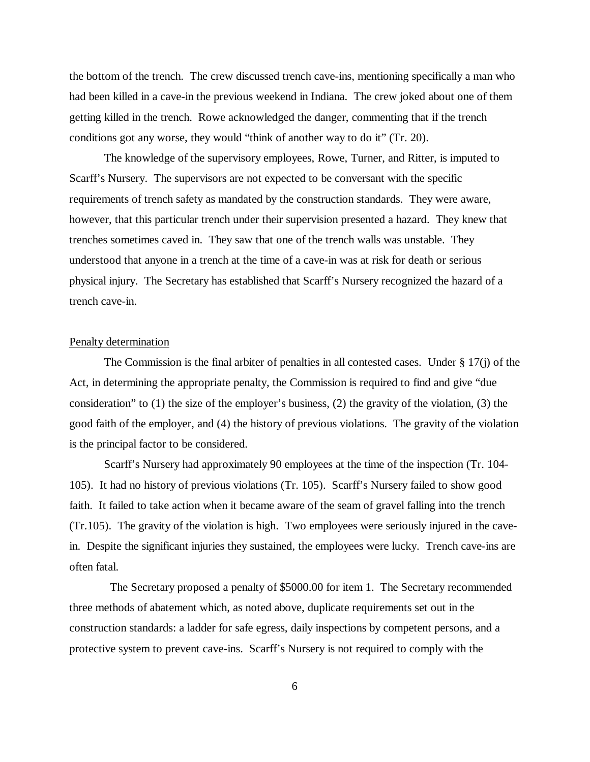the bottom of the trench. The crew discussed trench cave-ins, mentioning specifically a man who had been killed in a cave-in the previous weekend in Indiana. The crew joked about one of them getting killed in the trench. Rowe acknowledged the danger, commenting that if the trench conditions got any worse, they would "think of another way to do it" (Tr. 20).

The knowledge of the supervisory employees, Rowe, Turner, and Ritter, is imputed to Scarff's Nursery. The supervisors are not expected to be conversant with the specific requirements of trench safety as mandated by the construction standards. They were aware, however, that this particular trench under their supervision presented a hazard. They knew that trenches sometimes caved in. They saw that one of the trench walls was unstable. They understood that anyone in a trench at the time of a cave-in was at risk for death or serious physical injury. The Secretary has established that Scarff's Nursery recognized the hazard of a trench cave-in.

#### Penalty determination

The Commission is the final arbiter of penalties in all contested cases. Under § 17(j) of the Act, in determining the appropriate penalty, the Commission is required to find and give "due consideration" to (1) the size of the employer's business, (2) the gravity of the violation, (3) the good faith of the employer, and (4) the history of previous violations. The gravity of the violation is the principal factor to be considered.

Scarff's Nursery had approximately 90 employees at the time of the inspection (Tr. 104- 105). It had no history of previous violations (Tr. 105). Scarff's Nursery failed to show good faith. It failed to take action when it became aware of the seam of gravel falling into the trench (Tr.105). The gravity of the violation is high. Two employees were seriously injured in the cavein. Despite the significant injuries they sustained, the employees were lucky. Trench cave-ins are often fatal.

 The Secretary proposed a penalty of \$5000.00 for item 1. The Secretary recommended three methods of abatement which, as noted above, duplicate requirements set out in the construction standards: a ladder for safe egress, daily inspections by competent persons, and a protective system to prevent cave-ins. Scarff's Nursery is not required to comply with the

6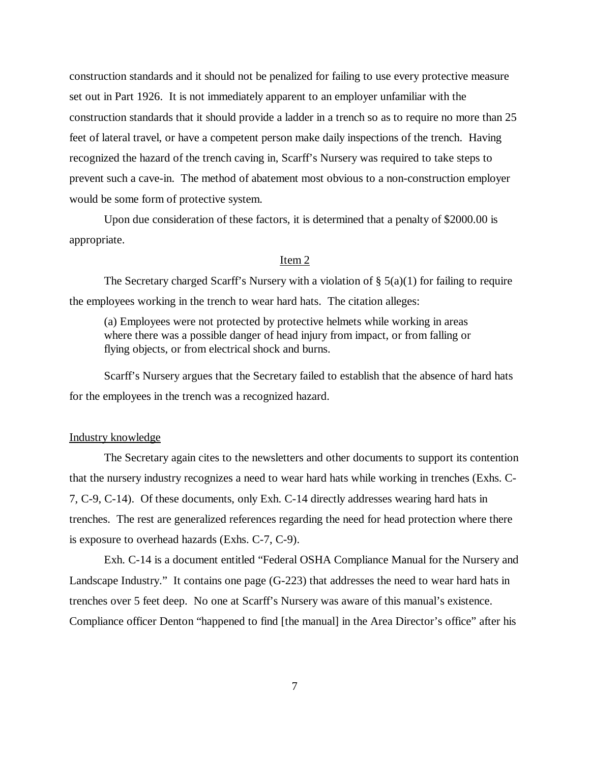construction standards and it should not be penalized for failing to use every protective measure set out in Part 1926. It is not immediately apparent to an employer unfamiliar with the construction standards that it should provide a ladder in a trench so as to require no more than 25 feet of lateral travel, or have a competent person make daily inspections of the trench. Having recognized the hazard of the trench caving in, Scarff's Nursery was required to take steps to prevent such a cave-in. The method of abatement most obvious to a non-construction employer would be some form of protective system.

Upon due consideration of these factors, it is determined that a penalty of \$2000.00 is appropriate.

## Item 2

The Secretary charged Scarff's Nursery with a violation of  $\S$  5(a)(1) for failing to require the employees working in the trench to wear hard hats. The citation alleges:

(a) Employees were not protected by protective helmets while working in areas where there was a possible danger of head injury from impact, or from falling or flying objects, or from electrical shock and burns.

Scarff's Nursery argues that the Secretary failed to establish that the absence of hard hats for the employees in the trench was a recognized hazard.

#### Industry knowledge

The Secretary again cites to the newsletters and other documents to support its contention that the nursery industry recognizes a need to wear hard hats while working in trenches (Exhs. C-7, C-9, C-14). Of these documents, only Exh. C-14 directly addresses wearing hard hats in trenches. The rest are generalized references regarding the need for head protection where there is exposure to overhead hazards (Exhs. C-7, C-9).

Exh. C-14 is a document entitled "Federal OSHA Compliance Manual for the Nursery and Landscape Industry." It contains one page (G-223) that addresses the need to wear hard hats in trenches over 5 feet deep. No one at Scarff's Nursery was aware of this manual's existence. Compliance officer Denton "happened to find [the manual] in the Area Director's office" after his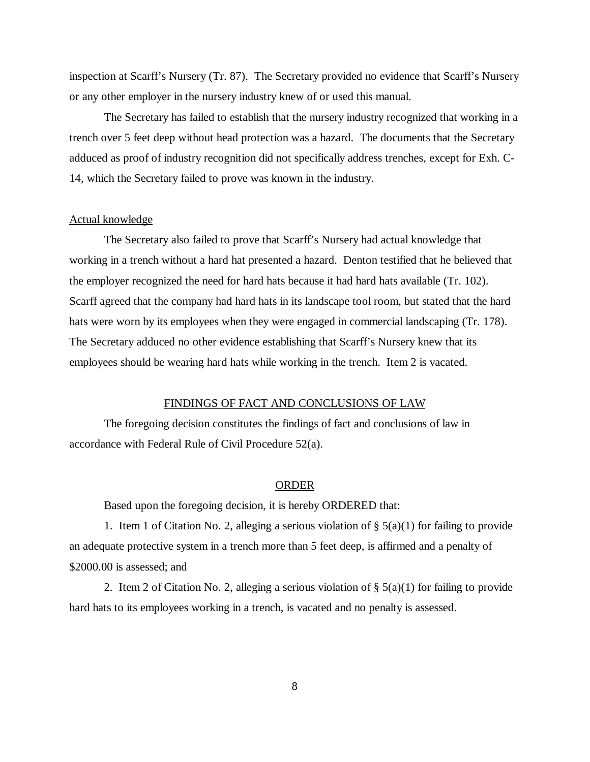inspection at Scarff's Nursery (Tr. 87). The Secretary provided no evidence that Scarff's Nursery or any other employer in the nursery industry knew of or used this manual.

The Secretary has failed to establish that the nursery industry recognized that working in a trench over 5 feet deep without head protection was a hazard. The documents that the Secretary adduced as proof of industry recognition did not specifically address trenches, except for Exh. C-14, which the Secretary failed to prove was known in the industry.

## Actual knowledge

The Secretary also failed to prove that Scarff's Nursery had actual knowledge that working in a trench without a hard hat presented a hazard. Denton testified that he believed that the employer recognized the need for hard hats because it had hard hats available (Tr. 102). Scarff agreed that the company had hard hats in its landscape tool room, but stated that the hard hats were worn by its employees when they were engaged in commercial landscaping (Tr. 178). The Secretary adduced no other evidence establishing that Scarff's Nursery knew that its employees should be wearing hard hats while working in the trench. Item 2 is vacated.

#### FINDINGS OF FACT AND CONCLUSIONS OF LAW

The foregoing decision constitutes the findings of fact and conclusions of law in accordance with Federal Rule of Civil Procedure 52(a).

#### ORDER

Based upon the foregoing decision, it is hereby ORDERED that:

1. Item 1 of Citation No. 2, alleging a serious violation of  $\S$  5(a)(1) for failing to provide an adequate protective system in a trench more than 5 feet deep, is affirmed and a penalty of \$2000.00 is assessed; and

2. Item 2 of Citation No. 2, alleging a serious violation of  $\S$  5(a)(1) for failing to provide hard hats to its employees working in a trench, is vacated and no penalty is assessed.